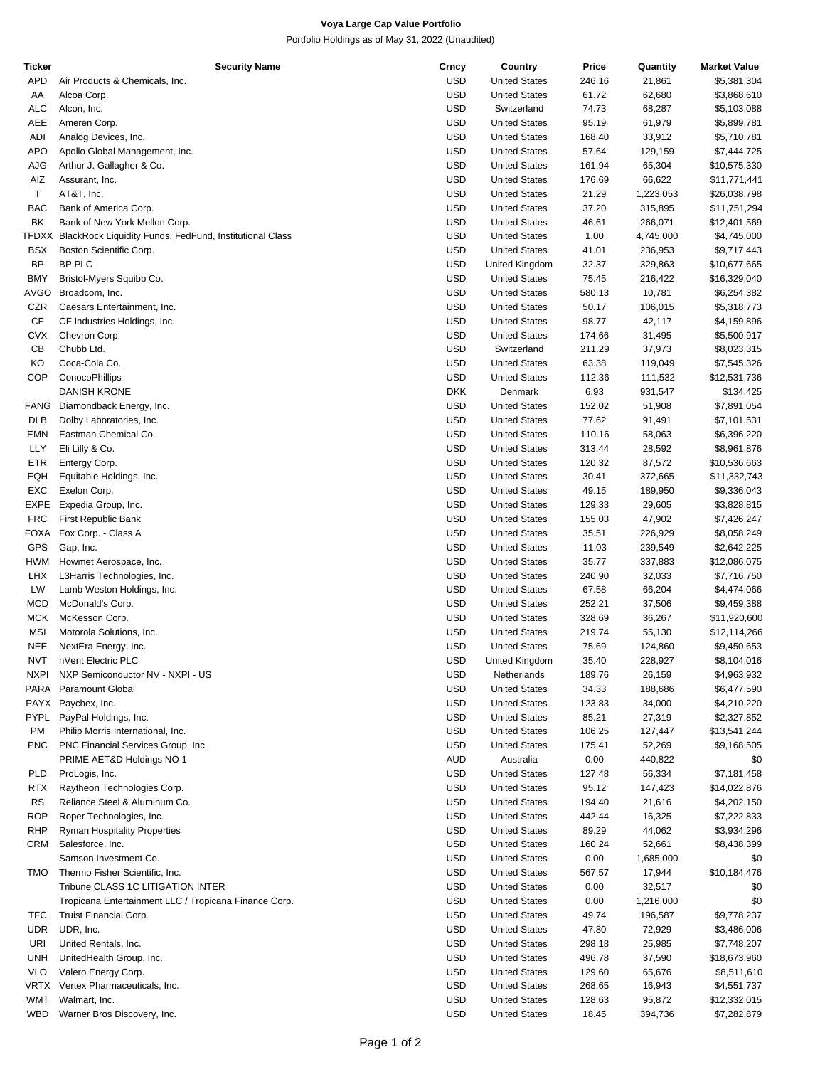## **Voya Large Cap Value Portfolio**

Portfolio Holdings as of May 31, 2022 (Unaudited)

| Ticker      | <b>Security Name</b>                                          | Crncy      | Country              | Price  | Quantity  | <b>Market Value</b> |
|-------------|---------------------------------------------------------------|------------|----------------------|--------|-----------|---------------------|
| <b>APD</b>  | Air Products & Chemicals, Inc.                                | <b>USD</b> | <b>United States</b> | 246.16 | 21,861    | \$5,381,304         |
| AA          | Alcoa Corp.                                                   | <b>USD</b> | <b>United States</b> | 61.72  | 62,680    | \$3,868,610         |
| ALC         | Alcon, Inc.                                                   | <b>USD</b> | Switzerland          | 74.73  | 68,287    | \$5,103,088         |
| AEE         | Ameren Corp.                                                  | <b>USD</b> | <b>United States</b> | 95.19  | 61,979    | \$5,899,781         |
| ADI         | Analog Devices, Inc.                                          | <b>USD</b> | <b>United States</b> | 168.40 | 33,912    | \$5,710,781         |
| <b>APO</b>  | Apollo Global Management, Inc.                                | <b>USD</b> | <b>United States</b> | 57.64  | 129,159   | \$7,444,725         |
| <b>AJG</b>  | Arthur J. Gallagher & Co.                                     | <b>USD</b> | <b>United States</b> | 161.94 | 65,304    | \$10,575,330        |
|             |                                                               |            |                      |        |           |                     |
| AIZ         | Assurant, Inc.                                                | <b>USD</b> | <b>United States</b> | 176.69 | 66,622    | \$11,771,441        |
| т           | AT&T, Inc.                                                    | <b>USD</b> | <b>United States</b> | 21.29  | 1,223,053 | \$26,038,798        |
| <b>BAC</b>  | Bank of America Corp.                                         | <b>USD</b> | <b>United States</b> | 37.20  | 315,895   | \$11,751,294        |
| BK          | Bank of New York Mellon Corp.                                 | <b>USD</b> | <b>United States</b> | 46.61  | 266,071   | \$12,401,569        |
|             | TFDXX BlackRock Liquidity Funds, FedFund, Institutional Class | <b>USD</b> | <b>United States</b> | 1.00   | 4,745,000 | \$4,745,000         |
| BSX         | Boston Scientific Corp.                                       | <b>USD</b> | <b>United States</b> | 41.01  | 236,953   | \$9,717,443         |
| BP          | BP PLC                                                        | <b>USD</b> | United Kingdom       | 32.37  | 329,863   | \$10,677,665        |
| <b>BMY</b>  | Bristol-Myers Squibb Co.                                      | <b>USD</b> | <b>United States</b> | 75.45  | 216,422   | \$16,329,040        |
| AVGO        | Broadcom, Inc.                                                | <b>USD</b> | <b>United States</b> | 580.13 | 10,781    | \$6,254,382         |
| CZR         | Caesars Entertainment, Inc.                                   | <b>USD</b> | <b>United States</b> | 50.17  | 106,015   | \$5,318,773         |
| СF          | CF Industries Holdings, Inc.                                  | <b>USD</b> | <b>United States</b> | 98.77  | 42,117    | \$4,159,896         |
| <b>CVX</b>  | Chevron Corp.                                                 | <b>USD</b> | <b>United States</b> | 174.66 | 31,495    | \$5,500,917         |
| СB          | Chubb Ltd.                                                    | <b>USD</b> | Switzerland          | 211.29 | 37,973    | \$8,023,315         |
|             |                                                               |            |                      |        |           |                     |
| KO          | Coca-Cola Co.                                                 | <b>USD</b> | <b>United States</b> | 63.38  | 119,049   | \$7,545,326         |
| <b>COP</b>  | ConocoPhillips                                                | <b>USD</b> | <b>United States</b> | 112.36 | 111,532   | \$12,531,736        |
|             | <b>DANISH KRONE</b>                                           | <b>DKK</b> | Denmark              | 6.93   | 931,547   | \$134,425           |
| <b>FANG</b> | Diamondback Energy, Inc.                                      | <b>USD</b> | <b>United States</b> | 152.02 | 51,908    | \$7,891,054         |
| <b>DLB</b>  | Dolby Laboratories, Inc.                                      | <b>USD</b> | <b>United States</b> | 77.62  | 91,491    | \$7,101,531         |
| EMN         | Eastman Chemical Co.                                          | <b>USD</b> | <b>United States</b> | 110.16 | 58,063    | \$6,396,220         |
| <b>LLY</b>  | Eli Lilly & Co.                                               | <b>USD</b> | <b>United States</b> | 313.44 | 28,592    | \$8,961,876         |
| ETR         | Entergy Corp.                                                 | <b>USD</b> | <b>United States</b> | 120.32 | 87,572    | \$10,536,663        |
| EQH         | Equitable Holdings, Inc.                                      | <b>USD</b> | <b>United States</b> | 30.41  | 372,665   | \$11,332,743        |
| EXC         | Exelon Corp.                                                  | <b>USD</b> | <b>United States</b> | 49.15  | 189,950   | \$9,336,043         |
| EXPE        | Expedia Group, Inc.                                           | <b>USD</b> | <b>United States</b> | 129.33 | 29,605    | \$3,828,815         |
| <b>FRC</b>  | First Republic Bank                                           | <b>USD</b> | <b>United States</b> | 155.03 | 47,902    | \$7,426,247         |
| <b>FOXA</b> | Fox Corp. - Class A                                           | <b>USD</b> | <b>United States</b> | 35.51  | 226,929   | \$8,058,249         |
|             |                                                               |            |                      |        |           |                     |
| GPS         | Gap, Inc.                                                     | <b>USD</b> | <b>United States</b> | 11.03  | 239,549   | \$2,642,225         |
| HWM         | Howmet Aerospace, Inc.                                        | <b>USD</b> | <b>United States</b> | 35.77  | 337,883   | \$12,086,075        |
| LHX         | L3Harris Technologies, Inc.                                   | <b>USD</b> | <b>United States</b> | 240.90 | 32,033    | \$7,716,750         |
| LW          | Lamb Weston Holdings, Inc.                                    | <b>USD</b> | <b>United States</b> | 67.58  | 66,204    | \$4,474,066         |
| <b>MCD</b>  | McDonald's Corp.                                              | <b>USD</b> | <b>United States</b> | 252.21 | 37,506    | \$9,459,388         |
| MCK         | McKesson Corp.                                                | <b>USD</b> | <b>United States</b> | 328.69 | 36,267    | \$11,920,600        |
| MSI         | Motorola Solutions, Inc.                                      | <b>USD</b> | <b>United States</b> | 219.74 | 55,130    | \$12,114,266        |
| <b>NEE</b>  | NextEra Energy, Inc.                                          | <b>USD</b> | <b>United States</b> | 75.69  | 124,860   | \$9,450,653         |
| <b>NVT</b>  | nVent Electric PLC                                            | <b>USD</b> | United Kingdom       | 35.40  | 228,927   | \$8,104,016         |
| NXPI        | NXP Semiconductor NV - NXPI - US                              | <b>USD</b> | Netherlands          | 189.76 | 26,159    | \$4,963,932         |
| PARA        | Paramount Global                                              | <b>USD</b> | <b>United States</b> | 34.33  | 188,686   | \$6,477,590         |
| PAYX        | Paychex, Inc.                                                 | <b>USD</b> | <b>United States</b> | 123.83 | 34,000    | \$4,210,220         |
| PYPL        |                                                               |            |                      |        |           |                     |
|             | PayPal Holdings, Inc.                                         | <b>USD</b> | <b>United States</b> | 85.21  | 27,319    | \$2,327,852         |
| <b>PM</b>   | Philip Morris International, Inc.                             | <b>USD</b> | <b>United States</b> | 106.25 | 127,447   | \$13,541,244        |
| <b>PNC</b>  | PNC Financial Services Group, Inc.                            | <b>USD</b> | <b>United States</b> | 175.41 | 52,269    | \$9,168,505         |
|             | PRIME AET&D Holdings NO 1                                     | <b>AUD</b> | Australia            | 0.00   | 440,822   | \$0                 |
| PLD         | ProLogis, Inc.                                                | <b>USD</b> | <b>United States</b> | 127.48 | 56,334    | \$7,181,458         |
| <b>RTX</b>  | Raytheon Technologies Corp.                                   | <b>USD</b> | <b>United States</b> | 95.12  | 147,423   | \$14,022,876        |
| RS          | Reliance Steel & Aluminum Co.                                 | <b>USD</b> | <b>United States</b> | 194.40 | 21,616    | \$4,202,150         |
| <b>ROP</b>  | Roper Technologies, Inc.                                      | <b>USD</b> | <b>United States</b> | 442.44 | 16,325    | \$7,222,833         |
| <b>RHP</b>  | <b>Ryman Hospitality Properties</b>                           | <b>USD</b> | <b>United States</b> | 89.29  | 44,062    | \$3,934,296         |
| <b>CRM</b>  | Salesforce, Inc.                                              | <b>USD</b> | <b>United States</b> | 160.24 | 52,661    | \$8,438,399         |
|             | Samson Investment Co.                                         | <b>USD</b> | <b>United States</b> | 0.00   | 1,685,000 | \$0                 |
|             | Thermo Fisher Scientific, Inc.                                | <b>USD</b> | <b>United States</b> | 567.57 | 17,944    | \$10,184,476        |
| TMO         |                                                               |            |                      |        |           |                     |
|             | Tribune CLASS 1C LITIGATION INTER                             | <b>USD</b> | <b>United States</b> | 0.00   | 32,517    | \$0                 |
|             | Tropicana Entertainment LLC / Tropicana Finance Corp.         | <b>USD</b> | <b>United States</b> | 0.00   | 1,216,000 | \$0                 |
| <b>TFC</b>  | Truist Financial Corp.                                        | <b>USD</b> | <b>United States</b> | 49.74  | 196,587   | \$9,778,237         |
| <b>UDR</b>  | UDR, Inc.                                                     | <b>USD</b> | <b>United States</b> | 47.80  | 72,929    | \$3,486,006         |
| URI         | United Rentals, Inc.                                          | <b>USD</b> | <b>United States</b> | 298.18 | 25,985    | \$7,748,207         |
| <b>UNH</b>  | UnitedHealth Group, Inc.                                      | <b>USD</b> | <b>United States</b> | 496.78 | 37,590    | \$18,673,960        |
| <b>VLO</b>  | Valero Energy Corp.                                           | <b>USD</b> | <b>United States</b> | 129.60 | 65,676    | \$8,511,610         |
| VRTX        | Vertex Pharmaceuticals, Inc.                                  | <b>USD</b> | <b>United States</b> | 268.65 | 16,943    | \$4,551,737         |
| WMT         | Walmart, Inc.                                                 | <b>USD</b> | <b>United States</b> | 128.63 | 95,872    | \$12,332,015        |
| <b>WBD</b>  | Warner Bros Discovery, Inc.                                   | <b>USD</b> | <b>United States</b> | 18.45  | 394,736   | \$7,282,879         |
|             |                                                               |            |                      |        |           |                     |